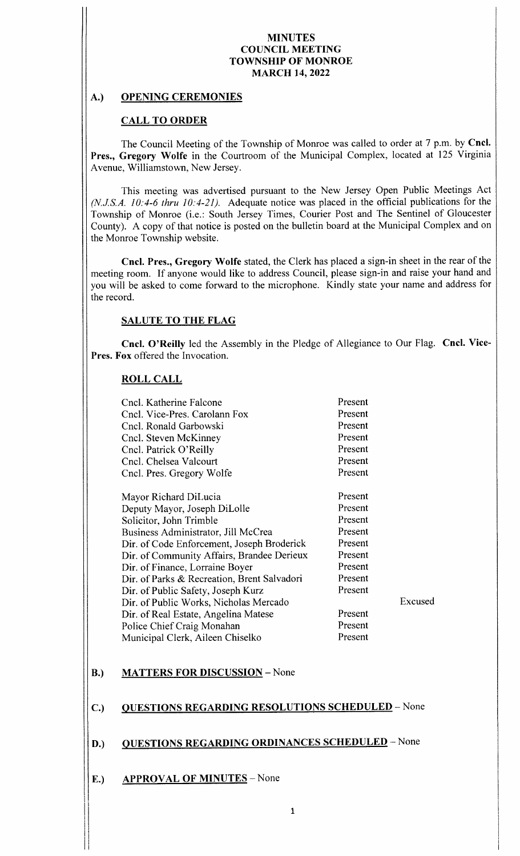# A.) OPENING CEREMONIES

# CALL TO ORDER

The Council Meeting of the Township of Monroe was called to order at 7 p.m. by Cncl. Pres., Gregory Wolfe in the Courtroom of the Municipal Complex, located at 125 Virginia Avenue, Williamstown, New Jersey.

This meeting was advertised pursuant to the New Jersey Open Public Meetings Act  $(N.J.S.A. 10: 4-6$  thru  $10: 4-21$ ). Adequate notice was placed in the official publications for the Township of Monroe (i.e.: South Jersey Times, Courier Post and The Sentinel of Gloucester County). A copy of that notice is posted on the bulletin board at the Municipal Complex and on the Monroe Township website.

Cncl. Pres., Gregory Wolfe stated, the Clerk has placed a sign-in sheet in the rear of the meeting room. If anyone would like to address Council, please sign-in and raise your hand and you will be asked to come forward to the microphone. Kindly state your name and address for the record.

### SALUTE TO THE FLAG

Cncl. O'Reilly led the Assembly in the Pledge of Allegiance to Our Flag. Cncl. Vice-Pres. Fox offered the Invocation.

### ROLL CALL

| Cncl. Katherine Falcone                     | Present |        |
|---------------------------------------------|---------|--------|
| Cncl. Vice-Pres. Carolann Fox               | Present |        |
| Cncl. Ronald Garbowski                      | Present |        |
| Cncl. Steven McKinney                       | Present |        |
| Cncl. Patrick O'Reilly                      | Present |        |
| Cncl. Chelsea Valcourt                      | Present |        |
| Cncl. Pres. Gregory Wolfe                   | Present |        |
|                                             |         |        |
| Mayor Richard DiLucia                       | Present |        |
| Deputy Mayor, Joseph DiLolle                | Present |        |
| Solicitor, John Trimble                     | Present |        |
| Business Administrator, Jill McCrea         | Present |        |
| Dir. of Code Enforcement, Joseph Broderick  | Present |        |
| Dir. of Community Affairs, Brandee Derieux  | Present |        |
| Dir. of Finance, Lorraine Boyer             | Present |        |
| Dir. of Parks & Recreation, Brent Salvadori | Present |        |
| Dir. of Public Safety, Joseph Kurz          | Present |        |
| Dir. of Public Works, Nicholas Mercado      |         | Excuse |
| Dir. of Real Estate, Angelina Matese        | Present |        |
| Police Chief Craig Monahan                  | Present |        |
| Municipal Clerk, Aileen Chiselko            | Present |        |
|                                             |         |        |

# B.) MATTERS FOR DISCUSSION - None

### C.) QUESTIONS REGARDING RESOLUTIONS SCHEDULED - None

# D.) QUESTIONS REGARDING ORDINANCES SCHEDULED - None

E.) APPROVAL OF MINUTES – None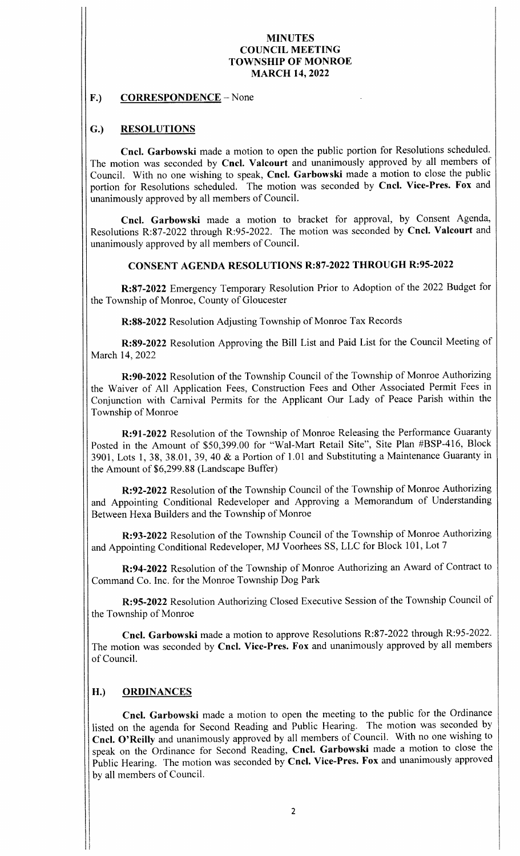#### F.) CORRESPONDENCE – None

# G.) RESOLUTIONS

Cncl. Garbowski made a motion to open the public portion for Resolutions scheduled. The motion was seconded by Cncl. Valcourt and unanimously approved by all members of Council. With no one wishing to speak, Cncl. Garbowski made a motion to close the public portion for Resolutions scheduled. The motion was seconded by Cncl. Vice-Pres. Fox and unanimously approved by all members of Council.

Cncl. Garbowski made <sup>a</sup> motion to bracket for approval, by Consent Agenda, Resolutions R:87-2022 through R:95-2022. The motion was seconded by Cncl. Valcourt and unanimously approved by all members of Council.

### CONSENT AGENDA RESOLUTIONS R:87-2022 THROUGH R:95-2022

R:87-2022 Emergency Temporary Resolution Prior to Adoption of the 2022 Budget for the Township of Monroe, County of Gloucester

R:88-2022 Resolution Adjusting Township of Monroe Tax Records

R: 89-2022 Resolution Approving the Bill List and Paid List for the Council Meeting of March 14, 2022

R:90-2022 Resolution of the Township Council of the Township of Monroe Authorizing the Waiver of All Application Fees, Construction Fees and Other Associated Permit Fees in Conjunction with Carnival Permits for the Applicant Our Lady of Peace Parish within the Township of Monroe

R:91-2022 Resolution of the Township of Monroe Releasing the Performance Guaranty Posted in the Amount of \$50,399.00 for "Wal-Mart Retail Site", Site Plan #BSP-416, Block 3901, Lots 1, 38, 38. 01, 39, 40 & <sup>a</sup> Portion of 1. <sup>01</sup> and Substituting <sup>a</sup> Maintenance Guaranty in the Amount of \$6,299.88 (Landscape Buffer)

R: 92-2022 Resolution of the Township Council of the Township of Monroe Authorizing and Appointing Conditional Redeveloper and Approving <sup>a</sup> Memorandum of Understanding Between Hexa Builders and the Township of Monroe

R: 93-2022 Resolution of the Township Council of the Township of Monroe Authorizing and Appointing Conditional Redeveloper, MJ Voorhees SS, LLC for Block 101, Lot 7

R: 94-2022 Resolution of the Township of Monroe Authorizing an Award of Contract to Command Co. Inc. for the Monroe Township Dog Park

R: 95-2022 Resolution Authorizing Closed Executive Session of the Township Council of the Township of Monroe

Cncl. Garbowski made a motion to approve Resolutions R:87-2022 through R:95-2022. The motion was seconded by Cncl. Vice-Pres. Fox and unanimously approved by all members of Council.

# H.) ORDINANCES

Cncl. Garbowski made a motion to open the meeting to the public for the Ordinance listed on the agenda for Second Reading and Public Hearing. The motion was seconded by Cncl. O' Reilly and unanimously approved by all members of Council. With no one wishing to speak on the Ordinance for Second Reading, Cncl. Garbowski made a motion to close the Public Hearing. The motion was seconded by Cncl. Vice-Pres. Fox and unanimously approved by all members of Council.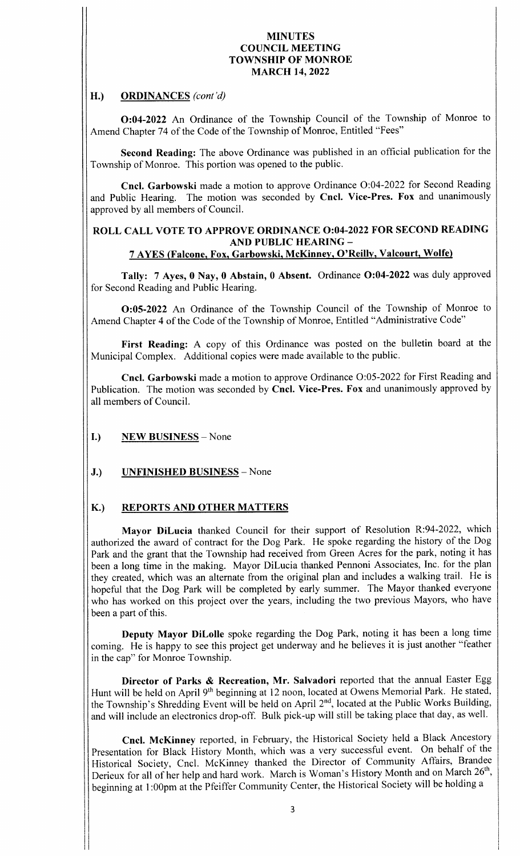# H.) ORDINANCES (cont'd)

0:04- <sup>2022</sup> An Ordinance of the Township Council of the Township of Monroe to Amend Chapter 74 of the Code of the Township of Monroe, Entitled "Fees"

Second Reading: The above Ordinance was published in an official publication for the Township of Monroe. This portion was opened to the public.

Cncl. Garbowski made a motion to approve Ordinance O:04-2022 for Second Reading and Public Hearing. The motion was seconded by Cncl. Vice-Pres. Fox and unanimously approved by all members of Council.

### ROLL CALL VOTE TO APPROVE ORDINANCE 0:04-2022 FOR SECOND READING AND PUBLIC HEARING— 7 AYES ( Falcone, Fox, Garbowski, McKinney, O' Reilly, Valcourt, Wolfe)

Tally: 7 Ayes, 0 Nay, 0 Abstain, 0 Absent. Ordinance O:04-2022 was duly approved for Second Reading and Public Hearing.

0:05- <sup>2022</sup> An Ordinance of the Township Council of the Township of Monroe to Amend Chapter 4 of the Code of the Township of Monroe, Entitled " Administrative Code"

First Reading: A copy of this Ordinance was posted on the bulletin board at the Municipal Complex. Additional copies were made available to the public.

Cncl. Garbowski made a motion to approve Ordinance O:05-2022 for First Reading and Publication. The motion was seconded by Cncl. Vice-Pres. Fox and unanimously approved by all members of Council.

- I.) NEW BUSINESS— None
- J.) UNFINISHED BUSINESS None

# K.) REPORTS AND OTHER MATTERS

Mayor DiLucia thanked Council for their support of Resolution R:94-2022, which authorized the award of contract for the Dog Park. He spoke regarding the history of the Dog Park and the grant that the Township had received from Green Acres for the park, noting it has been a long time in the making. Mayor DiLucia thanked Pennoni Associates, Inc. for the plan they created, which was an alternate from the original plan and includes <sup>a</sup> walking trail. He is hopeful that the Dog Park will be completed by early summer. The Mayor thanked everyone who has worked on this project over the years, including the two previous Mayors, who have been <sup>a</sup> part of this.

Deputy Mayor DiLolle spoke regarding the Dog Park, noting it has been a long time coming. He is happy to see this project get underway and he believes it is just another "feather in the cap" for Monroe Township.

Director of Parks & Recreation, Mr. Salvadori reported that the annual Easter Egg Hunt will be held on April 9<sup>th</sup> beginning at 12 noon, located at Owens Memorial Park. He stated, the Township's Shredding Event will be held on April 2<sup>nd</sup>, located at the Public Works Building, and will include an electronics drop-off. Bulk pick-up will still be taking place that day, as well.

Cncl. McKinney reported, in February, the Historical Society held a Black Ancestory Presentation for Black History Month, which was <sup>a</sup> very successful event. On behalf of the Historical Society, Cncl. McKinney thanked the Director of Community Affairs, Brandee Derieux for all of her help and hard work. March is Woman's History Month and on March 26<sup>th</sup>, beginning at 1: 00pm at the Pfeiffer Community Center, the Historical Society will be holding a